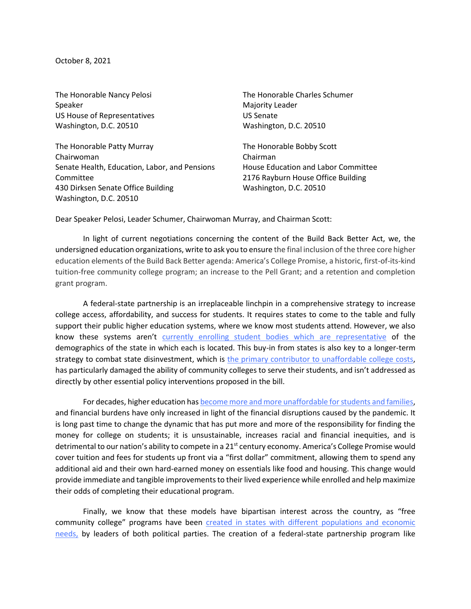October 8, 2021

The Honorable Nancy Pelosi Speaker US House of Representatives Washington, D.C. 20510

The Honorable Patty Murray Chairwoman Senate Health, Education, Labor, and Pensions Committee 430 Dirksen Senate Office Building Washington, D.C. 20510

The Honorable Charles Schumer Majority Leader US Senate Washington, D.C. 20510

The Honorable Bobby Scott Chairman House Education and Labor Committee 2176 Rayburn House Office Building Washington, D.C. 20510

Dear Speaker Pelosi, Leader Schumer, Chairwoman Murray, and Chairman Scott:

In light of current negotiations concerning the content of the Build Back Better Act, we, the undersigned education organizations, write to ask you to ensure the final inclusion of the three core higher education elements of the Build Back Better agenda: America's College Promise, a historic, first-of-its-kind tuition-free community college program; an increase to the Pell Grant; and a retention and completion grant program.

A federal-state partnership is an irreplaceable linchpin in a comprehensive strategy to increase college access, affordability, and success for students. It requires states to come to the table and fully support their public higher education systems, where we know most students attend. However, we also know these systems aren't [currently enrolling student bodies which are representative](https://edtrust.org/resource/segregation-forever/) of the demographics of the state in which each is located. This buy-in from states is also key to a longer-term strategy to combat state disinvestment, which is [the primary contributor to unaffordable college costs,](https://ticas.org/wp-content/uploads/2019/10/Better-Together.pdf) has particularly damaged the ability of community colleges to serve their students, and isn't addressed as directly by other essential policy interventions proposed in the bill.

For decades, higher education ha[s become more and more unaffordable for students and families,](https://projects.propublica.org/graphics/publictuition) and financial burdens have only increased in light of the financial disruptions caused by the pandemic. It is long past time to change the dynamic that has put more and more of the responsibility for finding the money for college on students; it is unsustainable, increases racial and financial inequities, and is detrimental to our nation's ability to compete in a 21<sup>st</sup> century economy. America's College Promise would cover tuition and fees for students up front via a "first dollar" commitment, allowing them to spend any additional aid and their own hard-earned money on essentials like food and housing. This change would provide immediate and tangible improvements to their lived experience while enrolled and help maximize their odds of completing their educational program.

Finally, we know that these models have bipartisan interest across the country, as "free community college" programs have been created in states with different populations and economic [needs,](https://www.forbes.com/sites/robertfarrington/2020/03/25/these-states-offer-tuition-free-community-college/?sh=289b899614cf) by leaders of both political parties. The creation of a federal-state partnership program like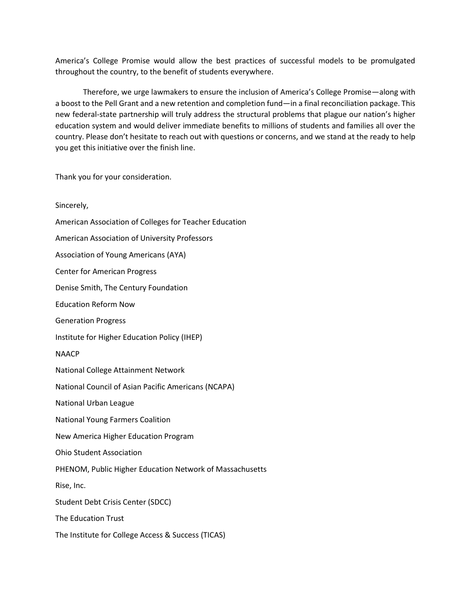America's College Promise would allow the best practices of successful models to be promulgated throughout the country, to the benefit of students everywhere.

Therefore, we urge lawmakers to ensure the inclusion of America's College Promise—along with a boost to the Pell Grant and a new retention and completion fund—in a final reconciliation package. This new federal-state partnership will truly address the structural problems that plague our nation's higher education system and would deliver immediate benefits to millions of students and families all over the country. Please don't hesitate to reach out with questions or concerns, and we stand at the ready to help you get this initiative over the finish line.

Thank you for your consideration.

Sincerely, American Association of Colleges for Teacher Education American Association of University Professors Association of Young Americans (AYA) Center for American Progress Denise Smith, The Century Foundation Education Reform Now Generation Progress Institute for Higher Education Policy (IHEP) NAACP National College Attainment Network National Council of Asian Pacific Americans (NCAPA) National Urban League National Young Farmers Coalition New America Higher Education Program Ohio Student Association PHENOM, Public Higher Education Network of Massachusetts Rise, Inc. Student Debt Crisis Center (SDCC) The Education Trust The Institute for College Access & Success (TICAS)